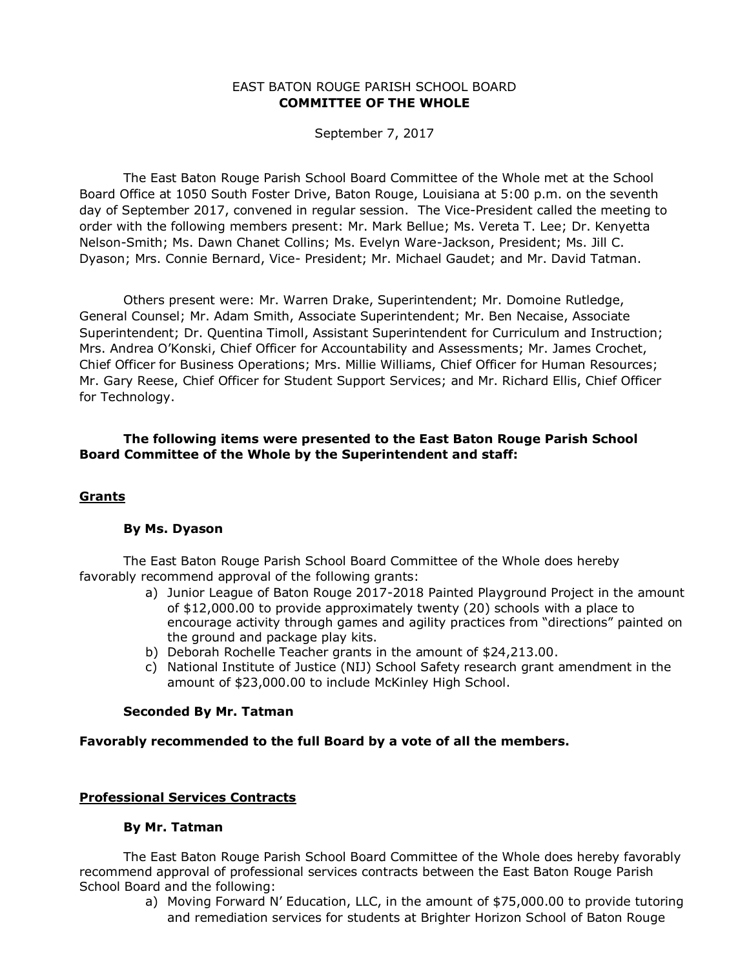#### EAST BATON ROUGE PARISH SCHOOL BOARD **COMMITTEE OF THE WHOLE**

September 7, 2017

The East Baton Rouge Parish School Board Committee of the Whole met at the School Board Office at 1050 South Foster Drive, Baton Rouge, Louisiana at 5:00 p.m. on the seventh day of September 2017, convened in regular session. The Vice-President called the meeting to order with the following members present: Mr. Mark Bellue; Ms. Vereta T. Lee; Dr. Kenyetta Nelson-Smith; Ms. Dawn Chanet Collins; Ms. Evelyn Ware-Jackson, President; Ms. Jill C. Dyason; Mrs. Connie Bernard, Vice- President; Mr. Michael Gaudet; and Mr. David Tatman.

Others present were: Mr. Warren Drake, Superintendent; Mr. Domoine Rutledge, General Counsel; Mr. Adam Smith, Associate Superintendent; Mr. Ben Necaise, Associate Superintendent; Dr. Quentina Timoll, Assistant Superintendent for Curriculum and Instruction; Mrs. Andrea O'Konski, Chief Officer for Accountability and Assessments; Mr. James Crochet, Chief Officer for Business Operations; Mrs. Millie Williams, Chief Officer for Human Resources; Mr. Gary Reese, Chief Officer for Student Support Services; and Mr. Richard Ellis, Chief Officer for Technology.

# **The following items were presented to the East Baton Rouge Parish School Board Committee of the Whole by the Superintendent and staff:**

### **Grants**

### **By Ms. Dyason**

The East Baton Rouge Parish School Board Committee of the Whole does hereby favorably recommend approval of the following grants:

- a) Junior League of Baton Rouge 2017-2018 Painted Playground Project in the amount of \$12,000.00 to provide approximately twenty (20) schools with a place to encourage activity through games and agility practices from "directions" painted on the ground and package play kits.
- b) Deborah Rochelle Teacher grants in the amount of \$24,213.00.
- c) National Institute of Justice (NIJ) School Safety research grant amendment in the amount of \$23,000.00 to include McKinley High School.

### **Seconded By Mr. Tatman**

### **Favorably recommended to the full Board by a vote of all the members.**

### **Professional Services Contracts**

### **By Mr. Tatman**

The East Baton Rouge Parish School Board Committee of the Whole does hereby favorably recommend approval of professional services contracts between the East Baton Rouge Parish School Board and the following:

> a) Moving Forward N' Education, LLC, in the amount of \$75,000.00 to provide tutoring and remediation services for students at Brighter Horizon School of Baton Rouge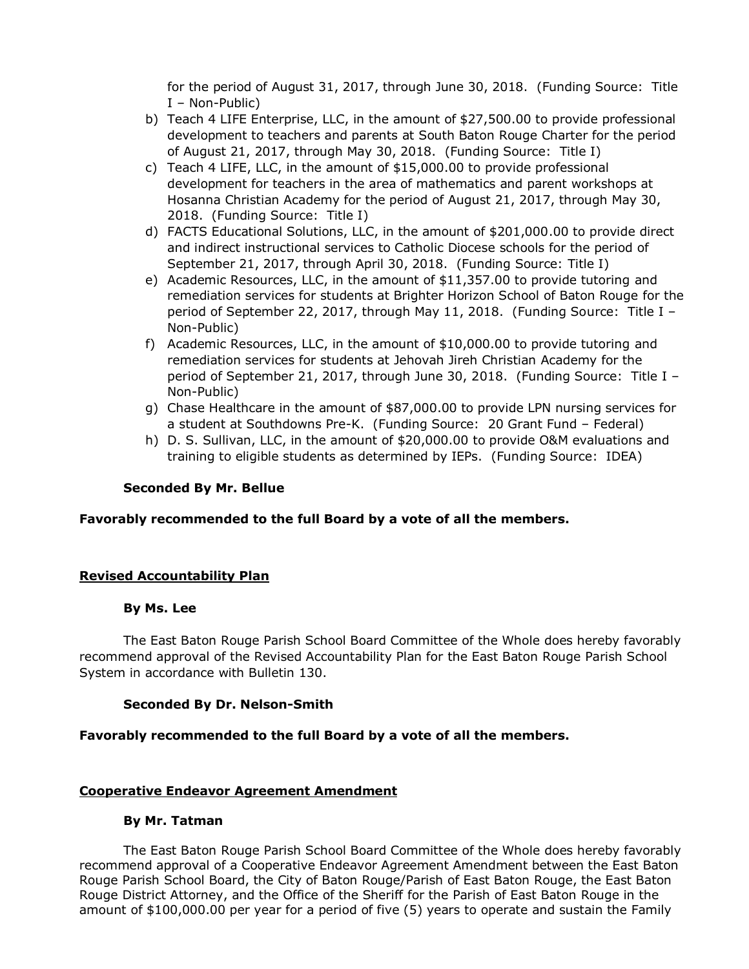for the period of August 31, 2017, through June 30, 2018. (Funding Source: Title I – Non-Public)

- b) Teach 4 LIFE Enterprise, LLC, in the amount of \$27,500.00 to provide professional development to teachers and parents at South Baton Rouge Charter for the period of August 21, 2017, through May 30, 2018. (Funding Source: Title I)
- c) Teach 4 LIFE, LLC, in the amount of \$15,000.00 to provide professional development for teachers in the area of mathematics and parent workshops at Hosanna Christian Academy for the period of August 21, 2017, through May 30, 2018. (Funding Source: Title I)
- d) FACTS Educational Solutions, LLC, in the amount of \$201,000.00 to provide direct and indirect instructional services to Catholic Diocese schools for the period of September 21, 2017, through April 30, 2018. (Funding Source: Title I)
- e) Academic Resources, LLC, in the amount of \$11,357.00 to provide tutoring and remediation services for students at Brighter Horizon School of Baton Rouge for the period of September 22, 2017, through May 11, 2018. (Funding Source: Title I – Non-Public)
- f) Academic Resources, LLC, in the amount of \$10,000.00 to provide tutoring and remediation services for students at Jehovah Jireh Christian Academy for the period of September 21, 2017, through June 30, 2018. (Funding Source: Title I – Non-Public)
- g) Chase Healthcare in the amount of \$87,000.00 to provide LPN nursing services for a student at Southdowns Pre-K. (Funding Source: 20 Grant Fund – Federal)
- h) D. S. Sullivan, LLC, in the amount of \$20,000.00 to provide O&M evaluations and training to eligible students as determined by IEPs. (Funding Source: IDEA)

# **Seconded By Mr. Bellue**

### **Favorably recommended to the full Board by a vote of all the members.**

# **Revised Accountability Plan**

### **By Ms. Lee**

The East Baton Rouge Parish School Board Committee of the Whole does hereby favorably recommend approval of the Revised Accountability Plan for the East Baton Rouge Parish School System in accordance with Bulletin 130.

### **Seconded By Dr. Nelson-Smith**

### **Favorably recommended to the full Board by a vote of all the members.**

# **Cooperative Endeavor Agreement Amendment**

### **By Mr. Tatman**

The East Baton Rouge Parish School Board Committee of the Whole does hereby favorably recommend approval of a Cooperative Endeavor Agreement Amendment between the East Baton Rouge Parish School Board, the City of Baton Rouge/Parish of East Baton Rouge, the East Baton Rouge District Attorney, and the Office of the Sheriff for the Parish of East Baton Rouge in the amount of \$100,000.00 per year for a period of five (5) years to operate and sustain the Family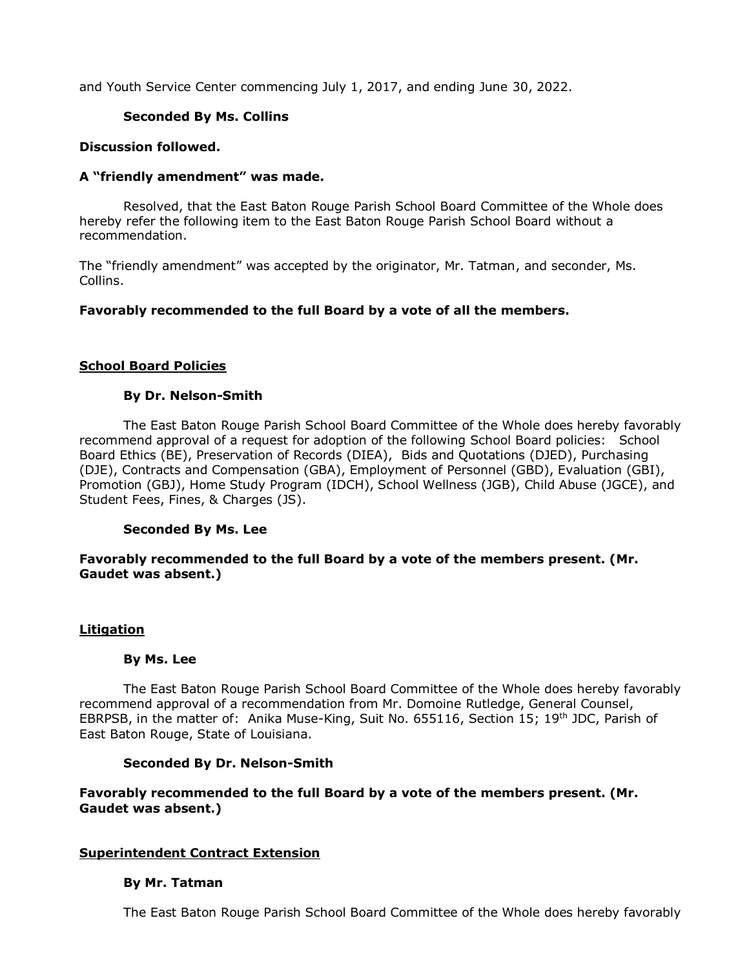and Youth Service Center commencing July 1, 2017, and ending June 30, 2022.

## **Seconded By Ms. Collins**

### **Discussion followed.**

### **A "friendly amendment" was made.**

Resolved, that the East Baton Rouge Parish School Board Committee of the Whole does hereby refer the following item to the East Baton Rouge Parish School Board without a recommendation.

The "friendly amendment" was accepted by the originator, Mr. Tatman, and seconder, Ms. Collins.

## **Favorably recommended to the full Board by a vote of all the members.**

### **School Board Policies**

### **By Dr. Nelson-Smith**

The East Baton Rouge Parish School Board Committee of the Whole does hereby favorably recommend approval of a request for adoption of the following School Board policies: School Board Ethics (BE), Preservation of Records (DIEA), Bids and Quotations (DJED), Purchasing (DJE), Contracts and Compensation (GBA), Employment of Personnel (GBD), Evaluation (GBI), Promotion (GBJ), Home Study Program (IDCH), School Wellness (JGB), Child Abuse (JGCE), and Student Fees, Fines, & Charges (JS).

### **Seconded By Ms. Lee**

# **Favorably recommended to the full Board by a vote of the members present. (Mr. Gaudet was absent.)**

### **Litigation**

### **By Ms. Lee**

The East Baton Rouge Parish School Board Committee of the Whole does hereby favorably recommend approval of a recommendation from Mr. Domoine Rutledge, General Counsel, EBRPSB, in the matter of: Anika Muse-King, Suit No. 655116, Section 15; 19<sup>th</sup> JDC, Parish of East Baton Rouge, State of Louisiana.

### **Seconded By Dr. Nelson-Smith**

## **Favorably recommended to the full Board by a vote of the members present. (Mr. Gaudet was absent.)**

### **Superintendent Contract Extension**

### **By Mr. Tatman**

The East Baton Rouge Parish School Board Committee of the Whole does hereby favorably